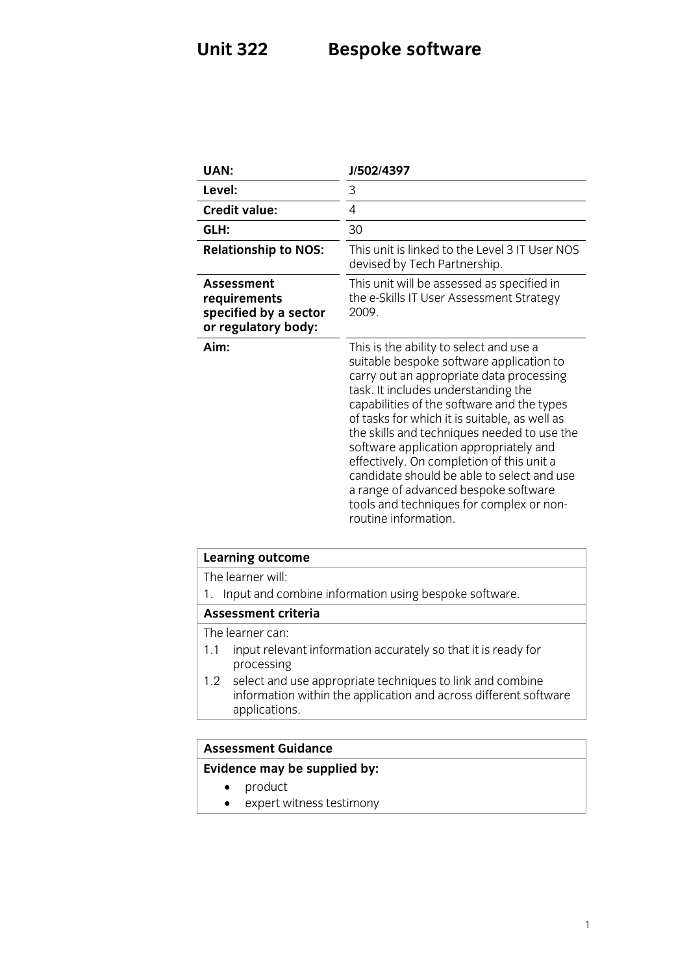# **Unit 322 Bespoke software**

| UAN:                                                                              | J/502/4397                                                                                                                                                                                                                                                                                                                                                                                                                                                                                                                                                            |
|-----------------------------------------------------------------------------------|-----------------------------------------------------------------------------------------------------------------------------------------------------------------------------------------------------------------------------------------------------------------------------------------------------------------------------------------------------------------------------------------------------------------------------------------------------------------------------------------------------------------------------------------------------------------------|
| Level:                                                                            | 3                                                                                                                                                                                                                                                                                                                                                                                                                                                                                                                                                                     |
| <b>Credit value:</b>                                                              | 4                                                                                                                                                                                                                                                                                                                                                                                                                                                                                                                                                                     |
| GLH:                                                                              | 30                                                                                                                                                                                                                                                                                                                                                                                                                                                                                                                                                                    |
| <b>Relationship to NOS:</b>                                                       | This unit is linked to the Level 3 IT User NOS<br>devised by Tech Partnership.                                                                                                                                                                                                                                                                                                                                                                                                                                                                                        |
| <b>Assessment</b><br>requirements<br>specified by a sector<br>or regulatory body: | This unit will be assessed as specified in<br>the e-Skills IT User Assessment Strategy<br>2009.                                                                                                                                                                                                                                                                                                                                                                                                                                                                       |
| Aim:                                                                              | This is the ability to select and use a<br>suitable bespoke software application to<br>carry out an appropriate data processing<br>task. It includes understanding the<br>capabilities of the software and the types<br>of tasks for which it is suitable, as well as<br>the skills and techniques needed to use the<br>software application appropriately and<br>effectively. On completion of this unit a<br>candidate should be able to select and use<br>a range of advanced bespoke software<br>tools and techniques for complex or non-<br>routine information. |

| Learning outcome                                                                                                                                   |  |
|----------------------------------------------------------------------------------------------------------------------------------------------------|--|
| The learner will:                                                                                                                                  |  |
| Input and combine information using bespoke software.                                                                                              |  |
| <b>Assessment criteria</b>                                                                                                                         |  |
| The learner can:                                                                                                                                   |  |
| input relevant information accurately so that it is ready for<br>1.1<br>processing                                                                 |  |
| 1.2 select and use appropriate techniques to link and combine<br>information within the application and across different software<br>applications. |  |
|                                                                                                                                                    |  |
| Accaccmant Cuidanca                                                                                                                                |  |

## **Assessment Guidance**

## **Evidence may be supplied by:**

- product
- expert witness testimony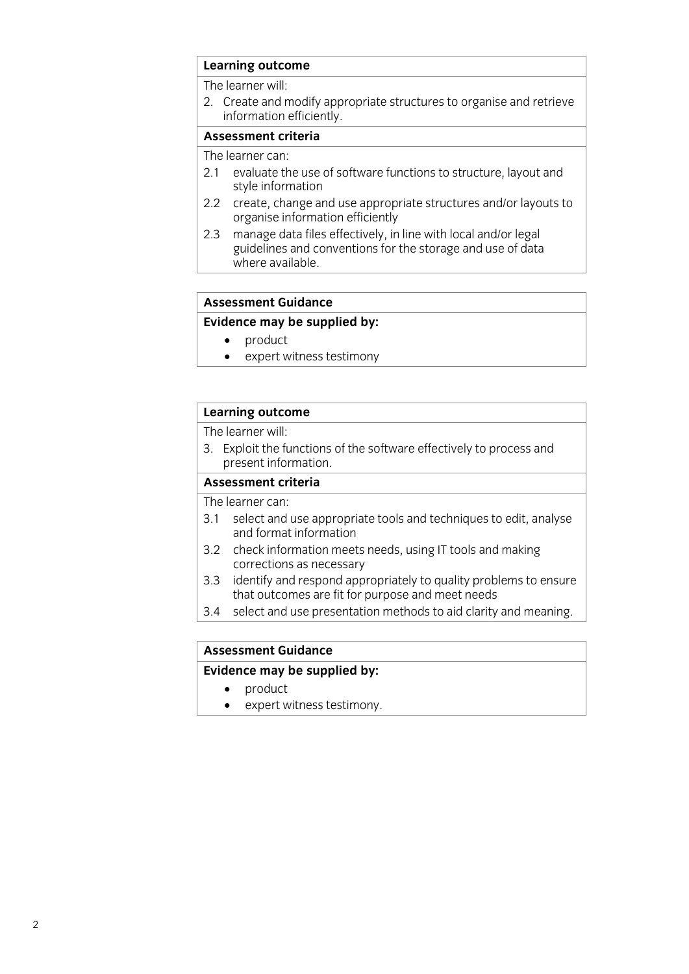# **Learning outcome**<br>The learner will:

2. Create and modify appropriate structures to organise and retrieve information efficiently.

### Assessment criteria

The learner can:

- 2.1 evaluate the use of software functions to structure, layout and style information
- 2.2 create, change and use appropriate structures and/or layouts to organise information efficiently
- $2.3$ manage data files effectively, in line with local and/or legal guidelines and conventions for the storage and use of data where available. where a variable available.

## **Assessment Guidance**

## **Evidence may be supplied by:**

- 
- product<br>• expert witness testimony • expert witness testimony

# **Learning outcome**<br>The learner will:

3. Exploit the functions of the software effectively to process and present information.

### Assessment criteria

The learner can:

- 3.1 select and use appropriate tools and techniques to edit, analyse and format information
- 3.2 check information meets needs, using IT tools and making corrections as necessary
- identify and respond appropriately to quality problems to ensure  $3.3$ that outcomes are fit for purpose and meet needs
- select and use presentation methods to aid clarity and meaning.  $\overline{3}$  select and use presentation methods to aid clarity and meaning. The meaning and meaning  $\overline{3}$

## **Assessment Guidance**

## **Evidence may be supplied by:**

- 
- **Example 19**<br> **Example 19**<br> **Example 19**<br> **Example 19**<br> **Example 19**<br> **Example 19**<br> **Example 19** • expert witness testimony.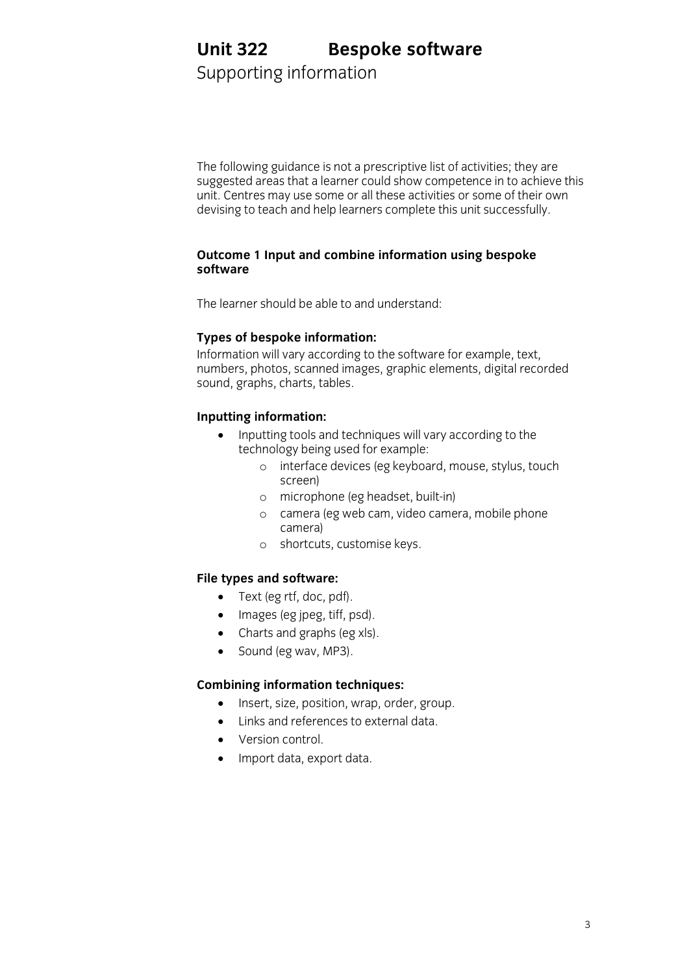## **Unit 322 Bespoke software**<br>Supporting information **Unit 322**

Supporting information

The following guidance is not a prescriptive list of activities; they are suggested areas that a learner could show competence in to achieve this unit. Centres may use some or all these activities or some of their own devising to teach and help learners complete this unit successfully. devising to teach and help learners complete this unit successfully.

# **Outcome 1 Input and combine information using bespoke**

The learner should be able to and understand

**Types of bespoke information:**<br>Information will vary according to the software for example, text, numbers, photos, scanned images, graphic elements, digital recorded sound, graphs, charts, tables.  $\frac{1}{2}$ sound, tables, tables, tables, tables, tables, tables, tables, tables, tables, tables, tables, tables, tables, tables, tables, tables, tables, tables, tables, tables, tables, tables, tables, tables, tables, table

- Inputting tools and techniques will vary according to the<br> **Inputting tools and techniques will vary according to the**<br> **Insulate technology being used for example:** 
	- o interface devices (eg keyboard, mouse, stylus, touch<br>screen)
		- o microphone (eg headset, built-in)
		- <sup>o</sup> camera (eg web cam, video camera, mobile phone
		- o shortcuts, customise keys.

- **Filter** (eg rtf, doc, pdf).
	- $\bullet$  Images (eg jpeg, tiff, psd).
	- Charts and graphs (eg xls).<br>• Sound (eg way, MP3).
	- Sound (eg wav, MP3).

- **Combine information techniques:**<br>
Insert, size, position, wrap, order, group.
	- Links and references to external data.
	- Version control.<br>• Import data exp
	- Import data, export data.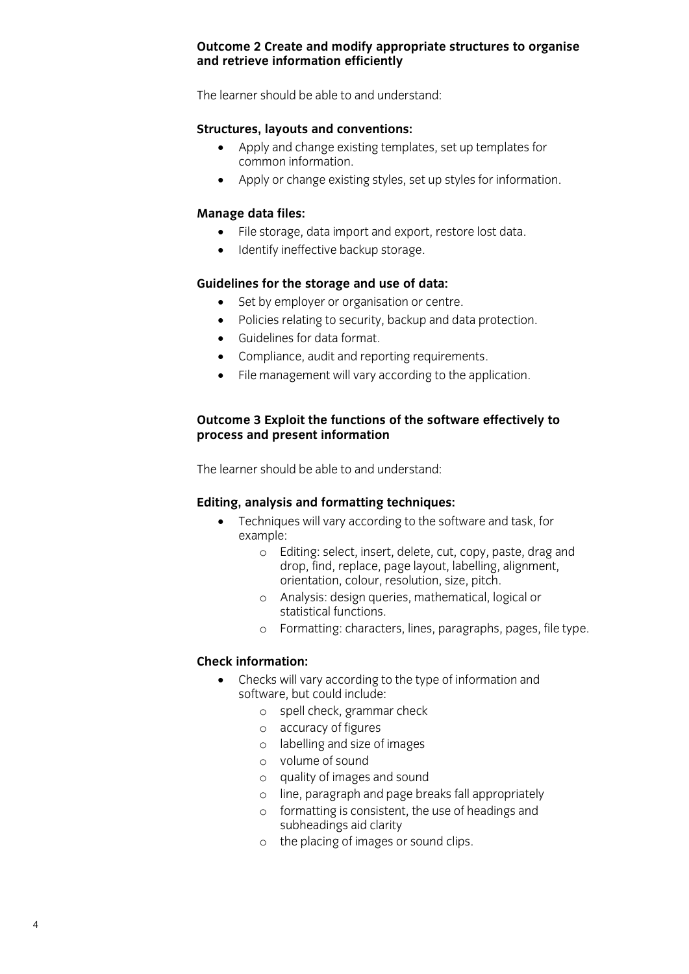### Outcome 2 Create and modify appropriate structures to organise and retrieve information efficiently **and retrieve information efficiently**

The learner should be able to and understand:

- **Strain in Apply and change existing templates, set up templates for common information.** 
	- Apply or change existing styles, set up styles for information.

- **Manage data import and export, restore lost data.**<br> **A** dentify ineffective back in storage.
	- Identify ineffective backup storage.

- Guidelines **Guidelines**<br> **Guidelines for the security hadge and dependent** 
	- Policies relating to security, backup and data protection.
	- Guidelines for data format.<br>• Compliance audit and repo
	- Compliance, audit and reporting requirements.<br>• File management will vary according to the ann
	- File management will vary according to the application.

## **Outcome 3 Exploit the functions of the software effectively to process and present information**

The learner should be able to and understand: The learner should be able to and understand:

- **EXAMPLE THEODIST CONTROVER THEORY TECHNIQUES will vary according to the software and task, for example:** 
	- o Editing: select, insert, delete, cut, copy, paste, drag and<br>drop find replace page lavout labelling alignment drop, find, replace, page layout, labelling, alignment,
		- o Analysis: design queries, mathematical, logical or<br>statistical functions
		- o Formatting: characters, lines, paragraphs, pages, file type.

## **Check information:**

- **Checks will vary according to the type of information and**<br>
software but could include:
	- o spell check, grammar check
		- <sup>o</sup> accuracy of figures
		- <sup>o</sup> labelling and size of images
		- <sup>o</sup> volume of sound
		- <sup>o</sup> quality of images and sound
		- <sup>o</sup> line, paragraph and page breaks fall appropriately
		- <sup>o</sup> formatting is consistent, the use of headings and
		- o the placing of images or sound clips.